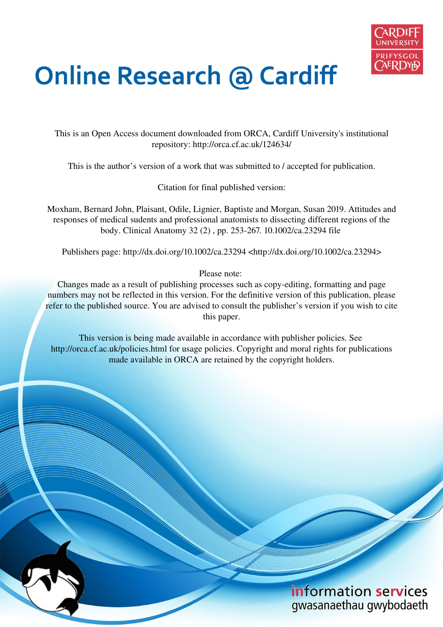

# **Online Research @ Cardiff**

This is an Open Access document downloaded from ORCA, Cardiff University's institutional repository: http://orca.cf.ac.uk/124634/

This is the author's version of a work that was submitted to / accepted for publication.

Citation for final published version:

Moxham, Bernard John, Plaisant, Odile, Lignier, Baptiste and Morgan, Susan 2019. Attitudes and responses of medical sudents and professional anatomists to dissecting different regions of the body. Clinical Anatomy 32 (2) , pp. 253-267. 10.1002/ca.23294 file

Publishers page: http://dx.doi.org/10.1002/ca.23294 <http://dx.doi.org/10.1002/ca.23294>

Please note:

Changes made as a result of publishing processes such as copy-editing, formatting and page numbers may not be reflected in this version. For the definitive version of this publication, please refer to the published source. You are advised to consult the publisher's version if you wish to cite this paper.

This version is being made available in accordance with publisher policies. See http://orca.cf.ac.uk/policies.html for usage policies. Copyright and moral rights for publications made available in ORCA are retained by the copyright holders.

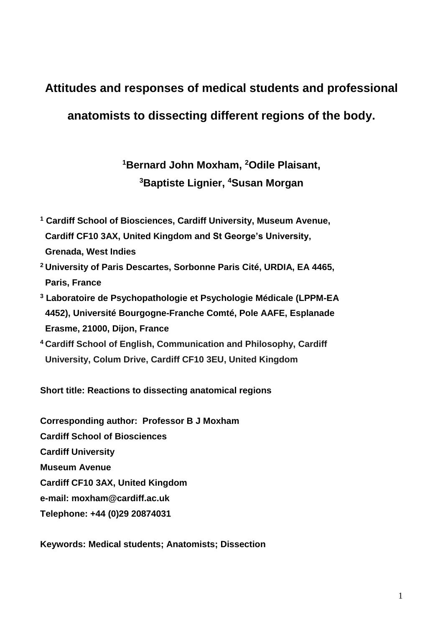# **Attitudes and responses of medical students and professional**

## **anatomists to dissecting different regions of the body.**

# **<sup>1</sup>Bernard John Moxham, <sup>2</sup>Odile Plaisant, <sup>3</sup>Baptiste Lignier, <sup>4</sup>Susan Morgan**

- **1 Cardiff School of Biosciences, Cardiff University, Museum Avenue, Cardiff CF10 3AX, United Kingdom and St George's University, Grenada, West Indies**
- **<sup>2</sup>University of Paris Descartes, Sorbonne Paris Cité, URDIA, EA 4465, Paris, France**
- **3 Laboratoire de Psychopathologie et Psychologie Médicale (LPPM-EA 4452), Université Bourgogne-Franche Comté, Pole AAFE, Esplanade Erasme, 21000, Dijon, France**
- **<sup>4</sup>Cardiff School of English, Communication and Philosophy, Cardiff University, Colum Drive, Cardiff CF10 3EU, United Kingdom**

**Short title: Reactions to dissecting anatomical regions** 

**Corresponding author: Professor B J Moxham Cardiff School of Biosciences Cardiff University Museum Avenue Cardiff CF10 3AX, United Kingdom e-mail: moxham@cardiff.ac.uk Telephone: +44 (0)29 20874031** 

**Keywords: Medical students; Anatomists; Dissection**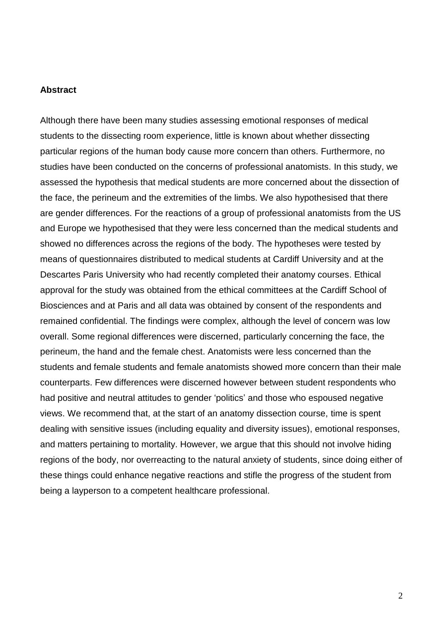#### **Abstract**

Although there have been many studies assessing emotional responses of medical students to the dissecting room experience, little is known about whether dissecting particular regions of the human body cause more concern than others. Furthermore, no studies have been conducted on the concerns of professional anatomists. In this study, we assessed the hypothesis that medical students are more concerned about the dissection of the face, the perineum and the extremities of the limbs. We also hypothesised that there are gender differences. For the reactions of a group of professional anatomists from the US and Europe we hypothesised that they were less concerned than the medical students and showed no differences across the regions of the body. The hypotheses were tested by means of questionnaires distributed to medical students at Cardiff University and at the Descartes Paris University who had recently completed their anatomy courses. Ethical approval for the study was obtained from the ethical committees at the Cardiff School of Biosciences and at Paris and all data was obtained by consent of the respondents and remained confidential. The findings were complex, although the level of concern was low overall. Some regional differences were discerned, particularly concerning the face, the perineum, the hand and the female chest. Anatomists were less concerned than the students and female students and female anatomists showed more concern than their male counterparts. Few differences were discerned however between student respondents who had positive and neutral attitudes to gender 'politics' and those who espoused negative views. We recommend that, at the start of an anatomy dissection course, time is spent dealing with sensitive issues (including equality and diversity issues), emotional responses, and matters pertaining to mortality. However, we argue that this should not involve hiding regions of the body, nor overreacting to the natural anxiety of students, since doing either of these things could enhance negative reactions and stifle the progress of the student from being a layperson to a competent healthcare professional.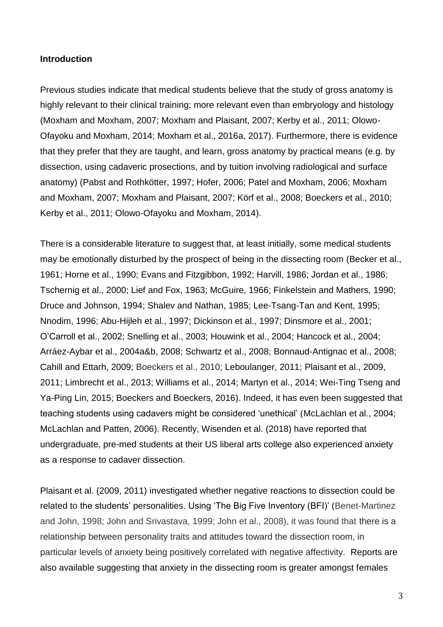#### **Introduction**

Previous studies indicate that medical students believe that the study of gross anatomy is highly relevant to their clinical training; more relevant even than embryology and histology (Moxham and Moxham, 2007; Moxham and Plaisant, 2007; Kerby et al., 2011; Olowo-Ofayoku and Moxham, 2014; Moxham et al., 2016a, 2017). Furthermore, there is evidence that they prefer that they are taught, and learn, gross anatomy by practical means (e.g. by dissection, using cadaveric prosections, and by tuition involving radiological and surface anatomy) (Pabst and Rothkötter, 1997; Hofer, 2006; Patel and Moxham, 2006; Moxham and Moxham, 2007; Moxham and Plaisant, 2007; Körf et al., 2008; Boeckers et al., 2010; Kerby et al., 2011; Olowo-Ofayoku and Moxham, 2014).

There is a considerable literature to suggest that, at least initially, some medical students may be emotionally disturbed by the prospect of being in the dissecting room (Becker et al., 1961; Horne et al., 1990; Evans and Fitzgibbon, 1992; Harvill, 1986; Jordan et al., 1986; Tschernig et al., 2000; Lief and Fox, 1963; McGuire, 1966; Finkelstein and Mathers, 1990; Druce and Johnson, 1994; Shalev and Nathan, 1985; Lee-Tsang-Tan and Kent, 1995; Nnodim, 1996; Abu-Hijleh et al., 1997; Dickinson et al., 1997; Dinsmore et al., 2001; O'Carroll et al., 2002; Snelling et al., 2003; Houwink et al., 2004; Hancock et al., 2004; Arráez-Aybar et al., 2004a&b, 2008; Schwartz et al., 2008; Bonnaud-Antignac et al., 2008; Cahill and Ettarh, 2009; Boeckers et al., 2010; Leboulanger, 2011; Plaisant et al., 2009, 2011; Limbrecht et al., 2013; Williams et al., 2014; Martyn et al., 2014; Wei-Ting Tseng and Ya-Ping Lin, 2015; Boeckers and Boeckers, 2016). Indeed, it has even been suggested that teaching students using cadavers might be considered 'unethical' (McLachlan et al., 2004; McLachlan and Patten, 2006). Recently, Wisenden et al. (2018) have reported that undergraduate, pre-med students at their US liberal arts college also experienced anxiety as a response to cadaver dissection.

Plaisant et al. (2009, 2011) investigated whether negative reactions to dissection could be related to the students' personalities. Using 'The Big Five Inventory (BFI)' (Benet-Martinez and John, 1998; John and Srivastava, 1999; John et al., 2008), it was found that there is a relationship between personality traits and attitudes toward the dissection room, in particular levels of anxiety being positively correlated with negative affectivity. Reports are also available suggesting that anxiety in the dissecting room is greater amongst females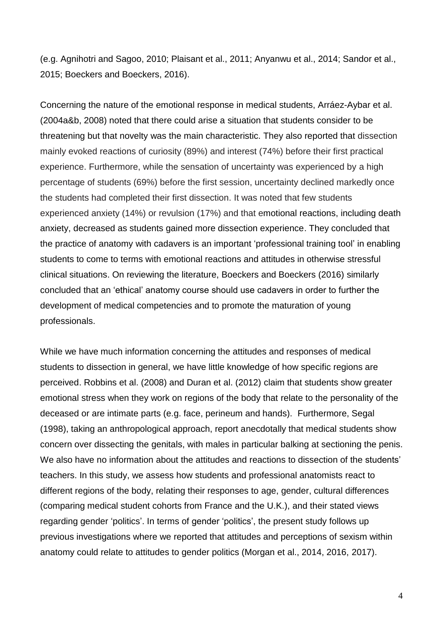(e.g. Agnihotri and Sagoo, 2010; Plaisant et al., 2011; Anyanwu et al., 2014; Sandor et al., 2015; Boeckers and Boeckers, 2016).

Concerning the nature of the emotional response in medical students, Arráez-Aybar et al. (2004a&b, 2008) noted that there could arise a situation that students consider to be threatening but that novelty was the main characteristic. They also reported that dissection mainly evoked reactions of curiosity (89%) and interest (74%) before their first practical experience. Furthermore, while the sensation of uncertainty was experienced by a high percentage of students (69%) before the first session, uncertainty declined markedly once the students had completed their first dissection. It was noted that few students experienced anxiety (14%) or revulsion (17%) and that emotional reactions, including death anxiety, decreased as students gained more dissection experience. They concluded that the practice of anatomy with cadavers is an important 'professional training tool' in enabling students to come to terms with emotional reactions and attitudes in otherwise stressful clinical situations. On reviewing the literature, Boeckers and Boeckers (2016) similarly concluded that an 'ethical' anatomy course should use cadavers in order to further the development of medical competencies and to promote the maturation of young professionals.

While we have much information concerning the attitudes and responses of medical students to dissection in general, we have little knowledge of how specific regions are perceived. Robbins et al. (2008) and Duran et al. (2012) claim that students show greater emotional stress when they work on regions of the body that relate to the personality of the deceased or are intimate parts (e.g. face, perineum and hands). Furthermore, Segal (1998), taking an anthropological approach, report anecdotally that medical students show concern over dissecting the genitals, with males in particular balking at sectioning the penis. We also have no information about the attitudes and reactions to dissection of the students' teachers. In this study, we assess how students and professional anatomists react to different regions of the body, relating their responses to age, gender, cultural differences (comparing medical student cohorts from France and the U.K.), and their stated views regarding gender 'politics'. In terms of gender 'politics', the present study follows up previous investigations where we reported that attitudes and perceptions of sexism within anatomy could relate to attitudes to gender politics (Morgan et al., 2014, 2016, 2017).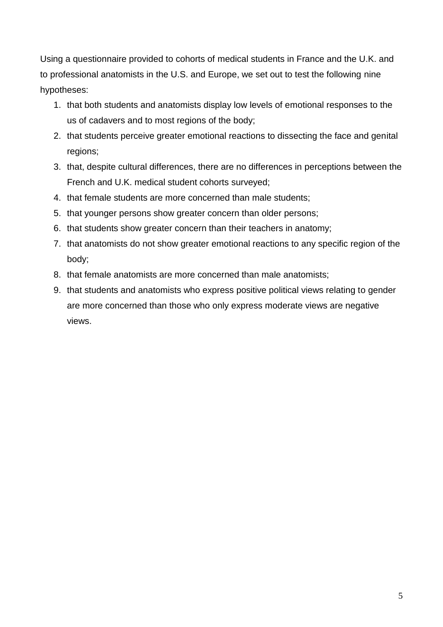Using a questionnaire provided to cohorts of medical students in France and the U.K. and to professional anatomists in the U.S. and Europe, we set out to test the following nine hypotheses:

- 1. that both students and anatomists display low levels of emotional responses to the us of cadavers and to most regions of the body;
- 2. that students perceive greater emotional reactions to dissecting the face and genital regions;
- 3. that, despite cultural differences, there are no differences in perceptions between the French and U.K. medical student cohorts surveyed;
- 4. that female students are more concerned than male students;
- 5. that younger persons show greater concern than older persons;
- 6. that students show greater concern than their teachers in anatomy;
- 7. that anatomists do not show greater emotional reactions to any specific region of the body;
- 8. that female anatomists are more concerned than male anatomists;
- 9. that students and anatomists who express positive political views relating to gender are more concerned than those who only express moderate views are negative views.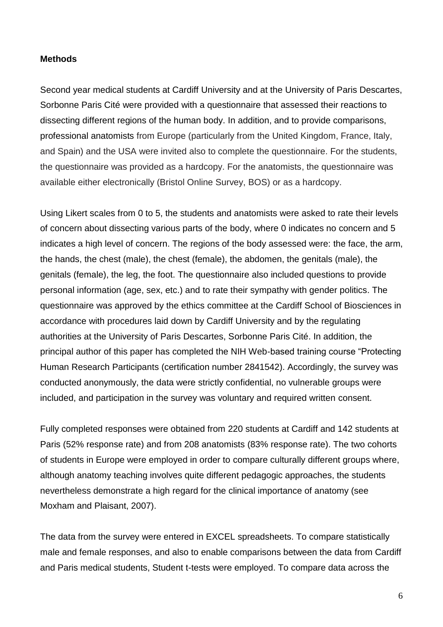#### **Methods**

Second year medical students at Cardiff University and at the University of Paris Descartes, Sorbonne Paris Cité were provided with a questionnaire that assessed their reactions to dissecting different regions of the human body. In addition, and to provide comparisons, professional anatomists from Europe (particularly from the United Kingdom, France, Italy, and Spain) and the USA were invited also to complete the questionnaire. For the students, the questionnaire was provided as a hardcopy. For the anatomists, the questionnaire was available either electronically (Bristol Online Survey, BOS) or as a hardcopy.

Using Likert scales from 0 to 5, the students and anatomists were asked to rate their levels of concern about dissecting various parts of the body, where 0 indicates no concern and 5 indicates a high level of concern. The regions of the body assessed were: the face, the arm, the hands, the chest (male), the chest (female), the abdomen, the genitals (male), the genitals (female), the leg, the foot. The questionnaire also included questions to provide personal information (age, sex, etc.) and to rate their sympathy with gender politics. The questionnaire was approved by the ethics committee at the Cardiff School of Biosciences in accordance with procedures laid down by Cardiff University and by the regulating authorities at the University of Paris Descartes, Sorbonne Paris Cité. In addition, the principal author of this paper has completed the NIH Web-based training course "Protecting Human Research Participants (certification number 2841542). Accordingly, the survey was conducted anonymously, the data were strictly confidential, no vulnerable groups were included, and participation in the survey was voluntary and required written consent.

Fully completed responses were obtained from 220 students at Cardiff and 142 students at Paris (52% response rate) and from 208 anatomists (83% response rate). The two cohorts of students in Europe were employed in order to compare culturally different groups where, although anatomy teaching involves quite different pedagogic approaches, the students nevertheless demonstrate a high regard for the clinical importance of anatomy (see Moxham and Plaisant, 2007).

The data from the survey were entered in EXCEL spreadsheets. To compare statistically male and female responses, and also to enable comparisons between the data from Cardiff and Paris medical students, Student t-tests were employed. To compare data across the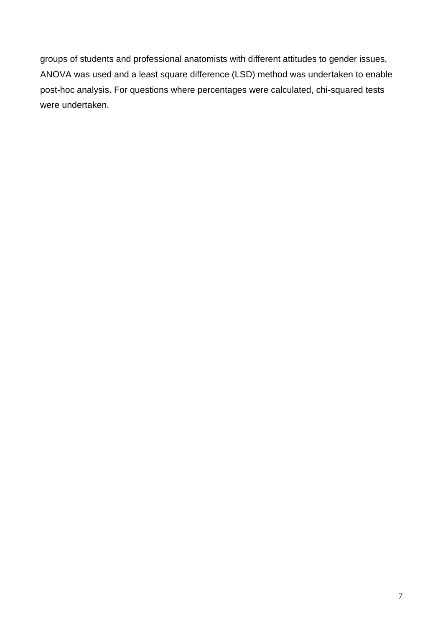groups of students and professional anatomists with different attitudes to gender issues, ANOVA was used and a least square difference (LSD) method was undertaken to enable post-hoc analysis. For questions where percentages were calculated, chi-squared tests were undertaken.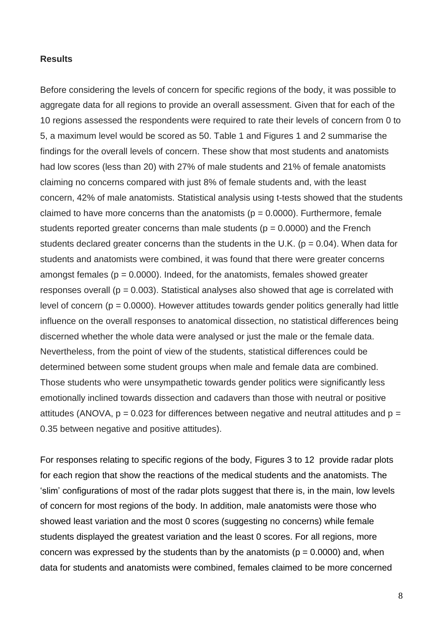#### **Results**

Before considering the levels of concern for specific regions of the body, it was possible to aggregate data for all regions to provide an overall assessment. Given that for each of the 10 regions assessed the respondents were required to rate their levels of concern from 0 to 5, a maximum level would be scored as 50. Table 1 and Figures 1 and 2 summarise the findings for the overall levels of concern. These show that most students and anatomists had low scores (less than 20) with 27% of male students and 21% of female anatomists claiming no concerns compared with just 8% of female students and, with the least concern, 42% of male anatomists. Statistical analysis using t-tests showed that the students claimed to have more concerns than the anatomists ( $p = 0.0000$ ). Furthermore, female students reported greater concerns than male students ( $p = 0.0000$ ) and the French students declared greater concerns than the students in the U.K. ( $p = 0.04$ ). When data for students and anatomists were combined, it was found that there were greater concerns amongst females ( $p = 0.0000$ ). Indeed, for the anatomists, females showed greater responses overall ( $p = 0.003$ ). Statistical analyses also showed that age is correlated with level of concern ( $p = 0.0000$ ). However attitudes towards gender politics generally had little influence on the overall responses to anatomical dissection, no statistical differences being discerned whether the whole data were analysed or just the male or the female data. Nevertheless, from the point of view of the students, statistical differences could be determined between some student groups when male and female data are combined. Those students who were unsympathetic towards gender politics were significantly less emotionally inclined towards dissection and cadavers than those with neutral or positive attitudes (ANOVA,  $p = 0.023$  for differences between negative and neutral attitudes and  $p =$ 0.35 between negative and positive attitudes).

For responses relating to specific regions of the body, Figures 3 to 12 provide radar plots for each region that show the reactions of the medical students and the anatomists. The 'slim' configurations of most of the radar plots suggest that there is, in the main, low levels of concern for most regions of the body. In addition, male anatomists were those who showed least variation and the most 0 scores (suggesting no concerns) while female students displayed the greatest variation and the least 0 scores. For all regions, more concern was expressed by the students than by the anatomists ( $p = 0.0000$ ) and, when data for students and anatomists were combined, females claimed to be more concerned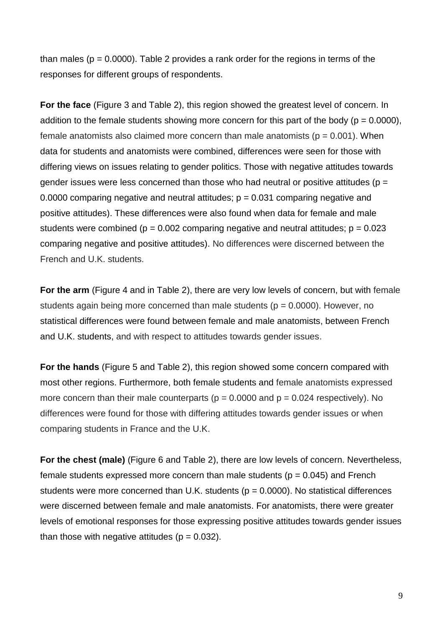than males ( $p = 0.0000$ ). Table 2 provides a rank order for the regions in terms of the responses for different groups of respondents.

**For the face** (Figure 3 and Table 2), this region showed the greatest level of concern. In addition to the female students showing more concern for this part of the body ( $p = 0.0000$ ), female anatomists also claimed more concern than male anatomists ( $p = 0.001$ ). When data for students and anatomists were combined, differences were seen for those with differing views on issues relating to gender politics. Those with negative attitudes towards gender issues were less concerned than those who had neutral or positive attitudes ( $p =$ 0.0000 comparing negative and neutral attitudes;  $p = 0.031$  comparing negative and positive attitudes). These differences were also found when data for female and male students were combined ( $p = 0.002$  comparing negative and neutral attitudes;  $p = 0.023$ comparing negative and positive attitudes). No differences were discerned between the French and U.K. students.

**For the arm** (Figure 4 and in Table 2), there are very low levels of concern, but with female students again being more concerned than male students ( $p = 0.0000$ ). However, no statistical differences were found between female and male anatomists, between French and U.K. students, and with respect to attitudes towards gender issues.

**For the hands** (Figure 5 and Table 2), this region showed some concern compared with most other regions. Furthermore, both female students and female anatomists expressed more concern than their male counterparts ( $p = 0.0000$  and  $p = 0.024$  respectively). No differences were found for those with differing attitudes towards gender issues or when comparing students in France and the U.K.

**For the chest (male)** (Figure 6 and Table 2), there are low levels of concern. Nevertheless, female students expressed more concern than male students ( $p = 0.045$ ) and French students were more concerned than U.K. students ( $p = 0.0000$ ). No statistical differences were discerned between female and male anatomists. For anatomists, there were greater levels of emotional responses for those expressing positive attitudes towards gender issues than those with negative attitudes  $(p = 0.032)$ .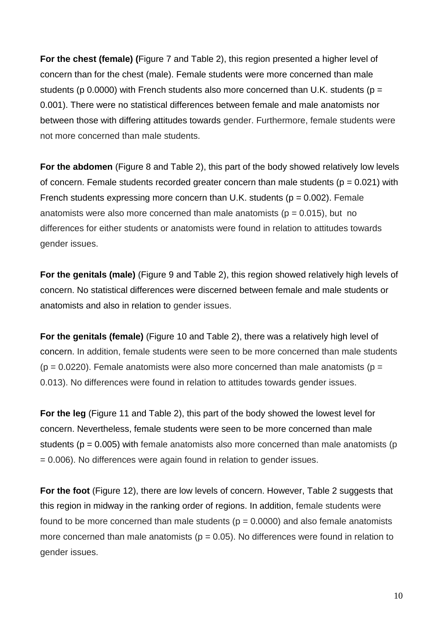**For the chest (female) (**Figure 7 and Table 2), this region presented a higher level of concern than for the chest (male). Female students were more concerned than male students (p  $0.0000$ ) with French students also more concerned than U.K. students (p = 0.001). There were no statistical differences between female and male anatomists nor between those with differing attitudes towards gender. Furthermore, female students were not more concerned than male students.

**For the abdomen** (Figure 8 and Table 2), this part of the body showed relatively low levels of concern. Female students recorded greater concern than male students ( $p = 0.021$ ) with French students expressing more concern than U.K. students ( $p = 0.002$ ). Female anatomists were also more concerned than male anatomists ( $p = 0.015$ ), but no differences for either students or anatomists were found in relation to attitudes towards gender issues.

**For the genitals (male)** (Figure 9 and Table 2), this region showed relatively high levels of concern. No statistical differences were discerned between female and male students or anatomists and also in relation to gender issues.

**For the genitals (female)** (Figure 10 and Table 2), there was a relatively high level of concern. In addition, female students were seen to be more concerned than male students  $(p = 0.0220)$ . Female anatomists were also more concerned than male anatomists  $(p = 0.0220)$ 0.013). No differences were found in relation to attitudes towards gender issues.

**For the leg** (Figure 11 and Table 2), this part of the body showed the lowest level for concern. Nevertheless, female students were seen to be more concerned than male students ( $p = 0.005$ ) with female anatomists also more concerned than male anatomists ( $p$ ) = 0.006). No differences were again found in relation to gender issues.

**For the foot** (Figure 12), there are low levels of concern. However, Table 2 suggests that this region in midway in the ranking order of regions. In addition, female students were found to be more concerned than male students ( $p = 0.0000$ ) and also female anatomists more concerned than male anatomists ( $p = 0.05$ ). No differences were found in relation to gender issues.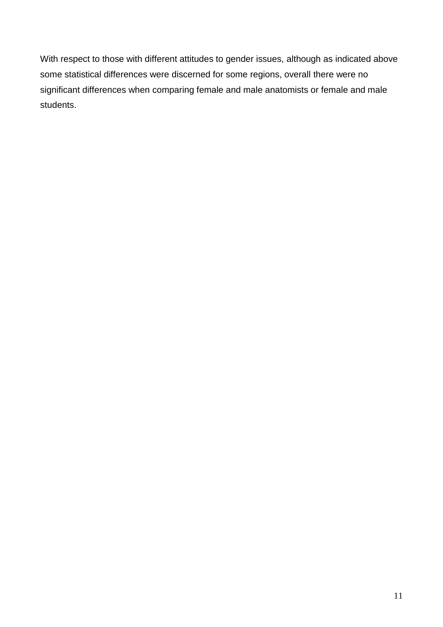With respect to those with different attitudes to gender issues, although as indicated above some statistical differences were discerned for some regions, overall there were no significant differences when comparing female and male anatomists or female and male students.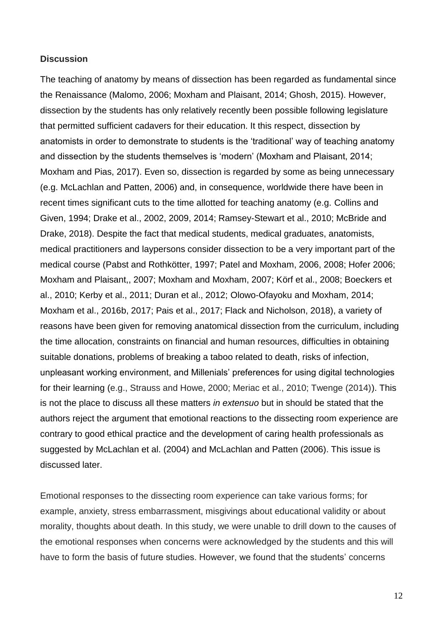#### **Discussion**

The teaching of anatomy by means of dissection has been regarded as fundamental since the Renaissance (Malomo, 2006; Moxham and Plaisant, 2014; Ghosh, 2015). However, dissection by the students has only relatively recently been possible following legislature that permitted sufficient cadavers for their education. It this respect, dissection by anatomists in order to demonstrate to students is the 'traditional' way of teaching anatomy and dissection by the students themselves is 'modern' (Moxham and Plaisant, 2014; Moxham and Pias, 2017). Even so, dissection is regarded by some as being unnecessary (e.g. McLachlan and Patten, 2006) and, in consequence, worldwide there have been in recent times significant cuts to the time allotted for teaching anatomy (e.g. Collins and Given, 1994; Drake et al., 2002, 2009, 2014; Ramsey-Stewart et al., 2010; McBride and Drake, 2018). Despite the fact that medical students, medical graduates, anatomists, medical practitioners and laypersons consider dissection to be a very important part of the medical course (Pabst and Rothkötter, 1997; Patel and Moxham, 2006, 2008; Hofer 2006; Moxham and Plaisant,, 2007; Moxham and Moxham, 2007; Körf et al., 2008; Boeckers et al., 2010; Kerby et al., 2011; Duran et al., 2012; Olowo-Ofayoku and Moxham, 2014; Moxham et al., 2016b, 2017; Pais et al., 2017; Flack and Nicholson, 2018), a variety of reasons have been given for removing anatomical dissection from the curriculum, including the time allocation, constraints on financial and human resources, difficulties in obtaining suitable donations, problems of breaking a taboo related to death, risks of infection, unpleasant working environment, and Millenials' preferences for using digital technologies for their learning (e.g., Strauss and Howe, 2000; Meriac et al., 2010; Twenge (2014)). This is not the place to discuss all these matters in extensuo but in should be stated that the authors reject the argument that emotional reactions to the dissecting room experience are contrary to good ethical practice and the development of caring health professionals as suggested by McLachlan et al. (2004) and McLachlan and Patten (2006). This issue is discussed later.

Emotional responses to the dissecting room experience can take various forms; for example, anxiety, stress embarrassment, misgivings about educational validity or about morality, thoughts about death. In this study, we were unable to drill down to the causes of the emotional responses when concerns were acknowledged by the students and this will have to form the basis of future studies. However, we found that the students' concerns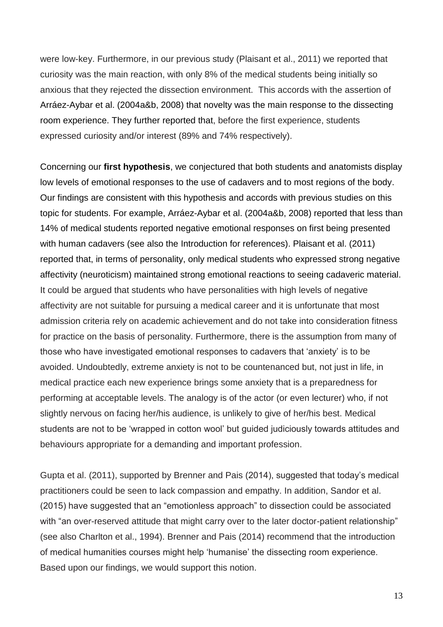were low-key. Furthermore, in our previous study (Plaisant et al., 2011) we reported that curiosity was the main reaction, with only 8% of the medical students being initially so anxious that they rejected the dissection environment. This accords with the assertion of Arráez-Aybar et al. (2004a&b, 2008) that novelty was the main response to the dissecting room experience. They further reported that, before the first experience, students expressed curiosity and/or interest (89% and 74% respectively).

Concerning our **first hypothesis**, we conjectured that both students and anatomists display low levels of emotional responses to the use of cadavers and to most regions of the body. Our findings are consistent with this hypothesis and accords with previous studies on this topic for students. For example, Arráez-Aybar et al. (2004a&b, 2008) reported that less than 14% of medical students reported negative emotional responses on first being presented with human cadavers (see also the Introduction for references). Plaisant et al. (2011) reported that, in terms of personality, only medical students who expressed strong negative affectivity (neuroticism) maintained strong emotional reactions to seeing cadaveric material. It could be argued that students who have personalities with high levels of negative affectivity are not suitable for pursuing a medical career and it is unfortunate that most admission criteria rely on academic achievement and do not take into consideration fitness for practice on the basis of personality. Furthermore, there is the assumption from many of those who have investigated emotional responses to cadavers that 'anxiety' is to be avoided. Undoubtedly, extreme anxiety is not to be countenanced but, not just in life, in medical practice each new experience brings some anxiety that is a preparedness for performing at acceptable levels. The analogy is of the actor (or even lecturer) who, if not slightly nervous on facing her/his audience, is unlikely to give of her/his best. Medical students are not to be 'wrapped in cotton wool' but guided judiciously towards attitudes and behaviours appropriate for a demanding and important profession.

Gupta et al. (2011), supported by Brenner and Pais (2014), suggested that today's medical practitioners could be seen to lack compassion and empathy. In addition, Sandor et al. (2015) have suggested that an "emotionless approach" to dissection could be associated with "an over-reserved attitude that might carry over to the later doctor-patient relationship" (see also Charlton et al., 1994). Brenner and Pais (2014) recommend that the introduction of medical humanities courses might help 'humanise' the dissecting room experience. Based upon our findings, we would support this notion.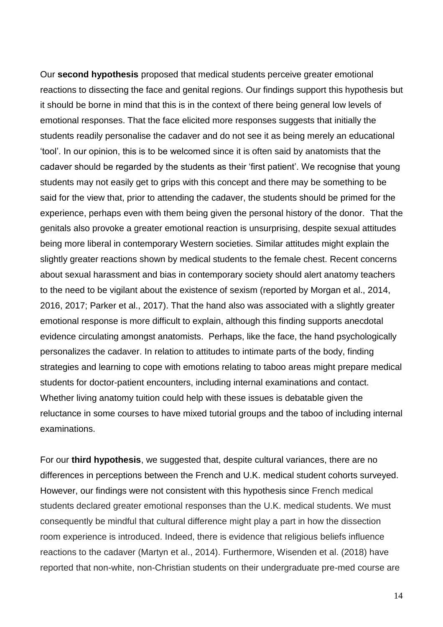Our **second hypothesis** proposed that medical students perceive greater emotional reactions to dissecting the face and genital regions. Our findings support this hypothesis but it should be borne in mind that this is in the context of there being general low levels of emotional responses. That the face elicited more responses suggests that initially the students readily personalise the cadaver and do not see it as being merely an educational 'tool'. In our opinion, this is to be welcomed since it is often said by anatomists that the cadaver should be regarded by the students as their 'first patient'. We recognise that young students may not easily get to grips with this concept and there may be something to be said for the view that, prior to attending the cadaver, the students should be primed for the experience, perhaps even with them being given the personal history of the donor. That the genitals also provoke a greater emotional reaction is unsurprising, despite sexual attitudes being more liberal in contemporary Western societies. Similar attitudes might explain the slightly greater reactions shown by medical students to the female chest. Recent concerns about sexual harassment and bias in contemporary society should alert anatomy teachers to the need to be vigilant about the existence of sexism (reported by Morgan et al., 2014, 2016, 2017; Parker et al., 2017). That the hand also was associated with a slightly greater emotional response is more difficult to explain, although this finding supports anecdotal evidence circulating amongst anatomists. Perhaps, like the face, the hand psychologically personalizes the cadaver. In relation to attitudes to intimate parts of the body, finding strategies and learning to cope with emotions relating to taboo areas might prepare medical students for doctor-patient encounters, including internal examinations and contact. Whether living anatomy tuition could help with these issues is debatable given the reluctance in some courses to have mixed tutorial groups and the taboo of including internal examinations.

For our **third hypothesis**, we suggested that, despite cultural variances, there are no differences in perceptions between the French and U.K. medical student cohorts surveyed. However, our findings were not consistent with this hypothesis since French medical students declared greater emotional responses than the U.K. medical students. We must consequently be mindful that cultural difference might play a part in how the dissection room experience is introduced. Indeed, there is evidence that religious beliefs influence reactions to the cadaver (Martyn et al., 2014). Furthermore, Wisenden et al. (2018) have reported that non-white, non-Christian students on their undergraduate pre-med course are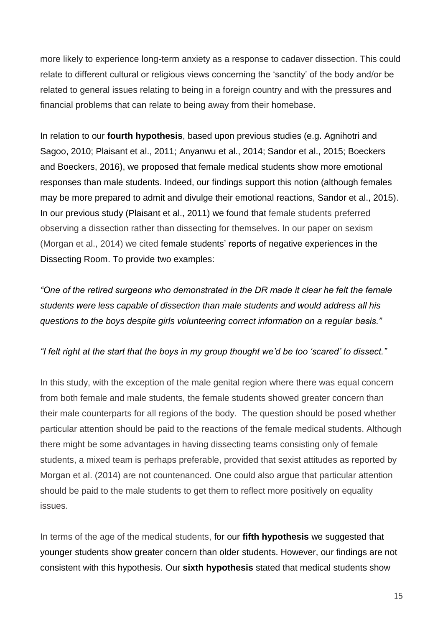more likely to experience long-term anxiety as a response to cadaver dissection. This could relate to different cultural or religious views concerning the 'sanctity' of the body and/or be related to general issues relating to being in a foreign country and with the pressures and financial problems that can relate to being away from their homebase.

In relation to our **fourth hypothesis**, based upon previous studies (e.g. Agnihotri and Sagoo, 2010; Plaisant et al., 2011; Anyanwu et al., 2014; Sandor et al., 2015; Boeckers and Boeckers, 2016), we proposed that female medical students show more emotional responses than male students. Indeed, our findings support this notion (although females may be more prepared to admit and divulge their emotional reactions, Sandor et al., 2015). In our previous study (Plaisant et al., 2011) we found that female students preferred observing a dissection rather than dissecting for themselves. In our paper on sexism (Morgan et al., 2014) we cited female students' reports of negative experiences in the Dissecting Room. To provide two examples:

*"One of the retired surgeons who demonstrated in the DR made it clear he felt the female*  students were less capable of dissection than male students and would address all his questions to the boys despite girls volunteering correct information on a regular *basis."* 

*"I felt right at the start that the boys in my group thought we'd be too 'scared' to dissect."*

In this study, with the exception of the male genital region where there was equal concern from both female and male students, the female students showed greater concern than their male counterparts for all regions of the body. The question should be posed whether particular attention should be paid to the reactions of the female medical students. Although there might be some advantages in having dissecting teams consisting only of female students, a mixed team is perhaps preferable, provided that sexist attitudes as reported by Morgan et al. (2014) are not countenanced. One could also argue that particular attention should be paid to the male students to get them to reflect more positively on equality issues.

In terms of the age of the medical students, for our **fifth hypothesis** we suggested that younger students show greater concern than older students. However, our findings are not consistent with this hypothesis. Our **sixth hypothesis** stated that medical students show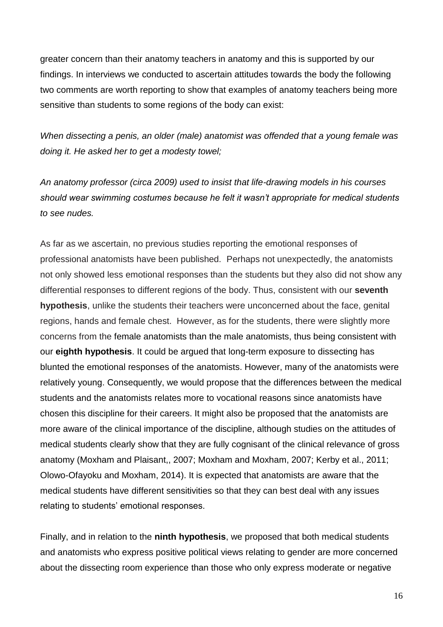greater concern than their anatomy teachers in anatomy and this is supported by our findings. In interviews we conducted to ascertain attitudes towards the body the following two comments are worth reporting to show that examples of anatomy teachers being more sensitive than students to some regions of the body can exist:

When dissecting a penis, an older (male) anatomist was offended that a young female was doing it. He asked her to get a modesty towel;

An anatomy professor (circa 2009) used to insist that life-drawing models in his courses *should wear swimming costumes because he felt it wasn't appropriate for medical students*  to see nudes.

As far as we ascertain, no previous studies reporting the emotional responses of professional anatomists have been published. Perhaps not unexpectedly, the anatomists not only showed less emotional responses than the students but they also did not show any differential responses to different regions of the body. Thus, consistent with our **seventh hypothesis**, unlike the students their teachers were unconcerned about the face, genital regions, hands and female chest. However, as for the students, there were slightly more concerns from the female anatomists than the male anatomists, thus being consistent with our **eighth hypothesis**. It could be argued that long-term exposure to dissecting has blunted the emotional responses of the anatomists. However, many of the anatomists were relatively young. Consequently, we would propose that the differences between the medical students and the anatomists relates more to vocational reasons since anatomists have chosen this discipline for their careers. It might also be proposed that the anatomists are more aware of the clinical importance of the discipline, although studies on the attitudes of medical students clearly show that they are fully cognisant of the clinical relevance of gross anatomy (Moxham and Plaisant,, 2007; Moxham and Moxham, 2007; Kerby et al., 2011; Olowo-Ofayoku and Moxham, 2014). It is expected that anatomists are aware that the medical students have different sensitivities so that they can best deal with any issues relating to students' emotional responses.

Finally, and in relation to the **ninth hypothesis**, we proposed that both medical students and anatomists who express positive political views relating to gender are more concerned about the dissecting room experience than those who only express moderate or negative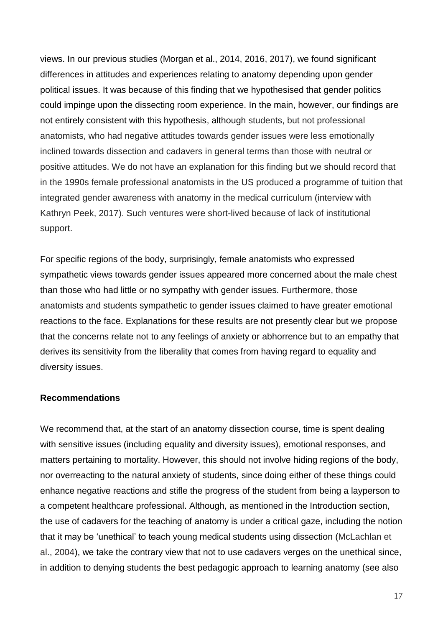views. In our previous studies (Morgan et al., 2014, 2016, 2017), we found significant differences in attitudes and experiences relating to anatomy depending upon gender political issues. It was because of this finding that we hypothesised that gender politics could impinge upon the dissecting room experience. In the main, however, our findings are not entirely consistent with this hypothesis, although students, but not professional anatomists, who had negative attitudes towards gender issues were less emotionally inclined towards dissection and cadavers in general terms than those with neutral or positive attitudes. We do not have an explanation for this finding but we should record that in the 1990s female professional anatomists in the US produced a programme of tuition that integrated gender awareness with anatomy in the medical curriculum (interview with Kathryn Peek, 2017). Such ventures were short-lived because of lack of institutional support.

For specific regions of the body, surprisingly, female anatomists who expressed sympathetic views towards gender issues appeared more concerned about the male chest than those who had little or no sympathy with gender issues. Furthermore, those anatomists and students sympathetic to gender issues claimed to have greater emotional reactions to the face. Explanations for these results are not presently clear but we propose that the concerns relate not to any feelings of anxiety or abhorrence but to an empathy that derives its sensitivity from the liberality that comes from having regard to equality and diversity issues.

#### **Recommendations**

We recommend that, at the start of an anatomy dissection course, time is spent dealing with sensitive issues (including equality and diversity issues), emotional responses, and matters pertaining to mortality. However, this should not involve hiding regions of the body, nor overreacting to the natural anxiety of students, since doing either of these things could enhance negative reactions and stifle the progress of the student from being a layperson to a competent healthcare professional. Although, as mentioned in the Introduction section, the use of cadavers for the teaching of anatomy is under a critical gaze, including the notion that it may be 'unethical' to teach young medical students using dissection (McLachlan et al., 2004), we take the contrary view that not to use cadavers verges on the unethical since, in addition to denying students the best pedagogic approach to learning anatomy (see also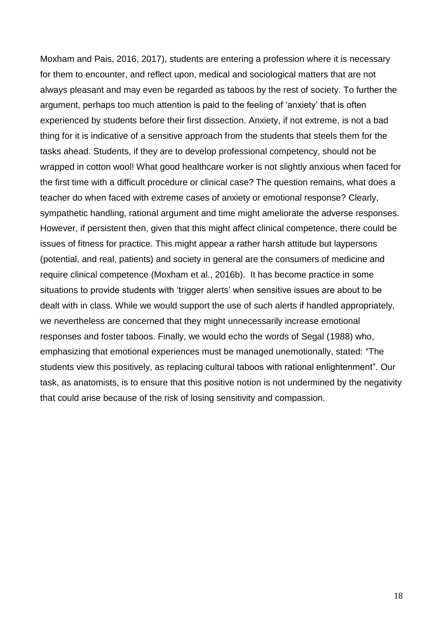Moxham and Pais, 2016, 2017), students are entering a profession where it is necessary for them to encounter, and reflect upon, medical and sociological matters that are not always pleasant and may even be regarded as taboos by the rest of society. To further the argument, perhaps too much attention is paid to the feeling of 'anxiety' that is often experienced by students before their first dissection. Anxiety, if not extreme, is not a bad thing for it is indicative of a sensitive approach from the students that steels them for the tasks ahead. Students, if they are to develop professional competency, should not be wrapped in cotton wool! What good healthcare worker is not slightly anxious when faced for the first time with a difficult procedure or clinical case? The question remains, what does a teacher do when faced with extreme cases of anxiety or emotional response? Clearly, sympathetic handling, rational argument and time might ameliorate the adverse responses. However, if persistent then, given that this might affect clinical competence, there could be issues of fitness for practice. This might appear a rather harsh attitude but laypersons (potential, and real, patients) and society in general are the consumers of medicine and require clinical competence (Moxham et al., 2016b). It has become practice in some situations to provide students with 'trigger alerts' when sensitive issues are about to be dealt with in class. While we would support the use of such alerts if handled appropriately, we nevertheless are concerned that they might unnecessarily increase emotional responses and foster taboos. Finally, we would echo the words of Segal (1988) who, emphasizing that emotional experiences must be managed unemotionally, stated: "The students view this positively, as replacing cultural taboos with rational enlightenment". Our task, as anatomists, is to ensure that this positive notion is not undermined by the negativity that could arise because of the risk of losing sensitivity and compassion.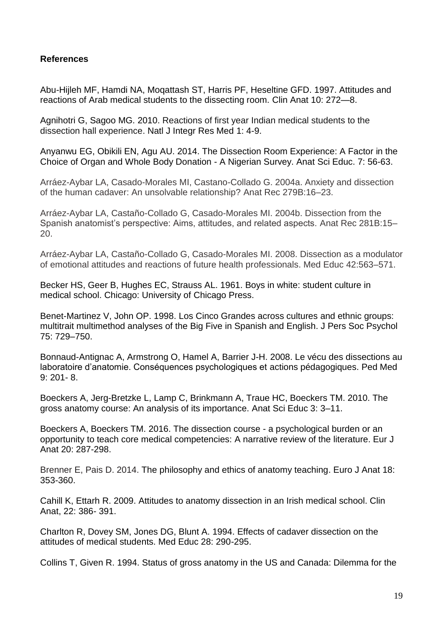#### **References**

Abu-Hijleh MF, Hamdi NA, Moqattash ST, Harris PF, Heseltine GFD. 1997. Attitudes and reactions of Arab medical students to the dissecting room. Clin Anat 10: 272—8.

Agnihotri G, Sagoo MG. 2010. Reactions of first year Indian medical students to the dissection hall experience. Natl J Integr Res Med 1: 4-9.

Anyanwu EG, Obikili EN, Agu AU. 2014. The Dissection Room Experience: A Factor in the Choice of Organ and Whole Body Donation - A Nigerian Survey. Anat Sci Educ. 7: 56-63.

Arráez-Aybar LA, Casado-Morales MI, Castano-Collado G. 2004a. Anxiety and dissection of the human cadaver: An unsolvable relationship? Anat Rec 279B:16–23.

Arráez-Aybar LA, Castaño-Collado G, Casado-Morales MI. 2004b. Dissection from the Spanish anatomist's perspective: Aims, attitudes, and related aspects. Anat Rec 281B:15– 20.

Arráez-Aybar LA, Castaño-Collado G, Casado-Morales MI. 2008. Dissection as a modulator of emotional attitudes and reactions of future health professionals. Med Educ 42:563–571.

Becker HS, Geer B, Hughes EC, Strauss AL. 1961. Boys in white: student culture in medical school. Chicago: University of Chicago Press.

Benet-Martinez V, John OP. 1998. Los Cinco Grandes across cultures and ethnic groups: multitrait multimethod analyses of the Big Five in Spanish and English. J Pers Soc Psychol 75: 729–750.

Bonnaud-Antignac A, Armstrong O, Hamel A, Barrier J-H. 2008. Le vécu des dissections au laboratoire d'anatomie. Conséquences psychologiques et actions pédagogiques. Ped Med 9: 201- 8.

Boeckers A, Jerg-Bretzke L, Lamp C, Brinkmann A, Traue HC, Boeckers TM. 2010. The gross anatomy course: An analysis of its importance. Anat Sci Educ 3: 3–11.

Boeckers A, Boeckers TM. 2016. The dissection course - a psychological burden or an opportunity to teach core medical competencies: A narrative review of the literature. Eur J Anat 20: 287-298.

Brenner E, Pais D. 2014. The philosophy and ethics of anatomy teaching. Euro J Anat 18: 353-360.

Cahill K, Ettarh R. 2009. Attitudes to anatomy dissection in an Irish medical school. Clin Anat, 22: 386- 391.

Charlton R, Dovey SM, Jones DG, Blunt A. 1994. Effects of cadaver dissection on the attitudes of medical students. Med Educ 28: 290-295.

Collins T, Given R. 1994. Status of gross anatomy in the US and Canada: Dilemma for the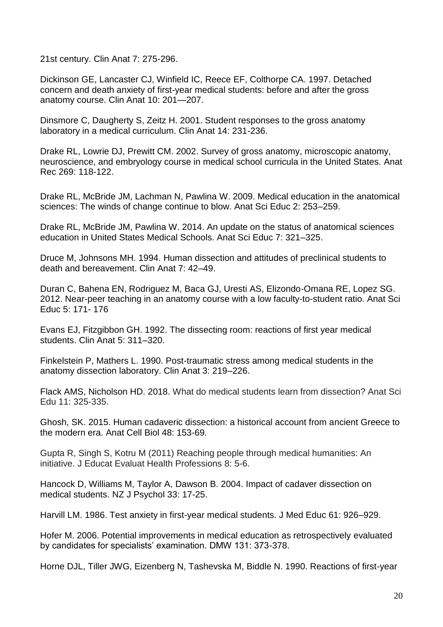21st century. Clin Anat 7: 275-296.

Dickinson GE, Lancaster CJ, Winfield IC, Reece EF, Colthorpe CA. 1997. Detached concern and death anxiety of first-year medical students: before and after the gross anatomy course. Clin Anat 10: 201—207.

Dinsmore C, Daugherty S, Zeitz H. 2001. Student responses to the gross anatomy laboratory in a medical curriculum. Clin Anat 14: 231-236.

Drake RL, Lowrie DJ, Prewitt CM. 2002. Survey of gross anatomy, microscopic anatomy, neuroscience, and embryology course in medical school curricula in the United States. Anat Rec 269: 118-122.

Drake RL, McBride JM, Lachman N, Pawlina W. 2009. Medical education in the anatomical sciences: The winds of change continue to blow. Anat Sci Educ 2: 253–259.

Drake RL, McBride JM, Pawlina W. 2014. An update on the status of anatomical sciences education in United States Medical Schools. Anat Sci Educ 7: 321–325.

Druce M, Johnsons MH. 1994. Human dissection and attitudes of preclinical students to death and bereavement. Clin Anat 7: 42–49.

Duran C, Bahena EN, Rodriguez M, Baca GJ, Uresti AS, Elizondo-Omana RE, Lopez SG. 2012. Near-peer teaching in an anatomy course with a low faculty-to-student ratio. Anat Sci Educ 5: 171- 176

Evans EJ, Fitzgibbon GH. 1992. The dissecting room: reactions of first year medical students. Clin Anat 5: 311–320.

Finkelstein P, Mathers L. 1990. Post-traumatic stress among medical students in the anatomy dissection laboratory. Clin Anat 3: 219–226.

Flack AMS, Nicholson HD. 2018. What do medical students learn from dissection? Anat Sci Edu 11: 325-335.

Ghosh, SK. 2015. Human cadaveric dissection: a historical account from ancient Greece to the modern era. Anat Cell Biol 48: 153-69.

Gupta R, Singh S, Kotru M (2011) Reaching people through medical humanities: An initiative. J Educat Evaluat Health Professions 8: 5-6.

Hancock D, Williams M, Taylor A, Dawson B. 2004. Impact of cadaver dissection on medical students. NZ J Psychol 33: 17-25.

Harvill LM. 1986. Test anxiety in first-year medical students. J Med Educ 61: 926–929.

Hofer M. 2006. Potential improvements in medical education as retrospectively evaluated by candidates for specialists' examination. DMW 131: 373-378.

Horne DJL, Tiller JWG, Eizenberg N, Tashevska M, Biddle N. 1990. Reactions of first-year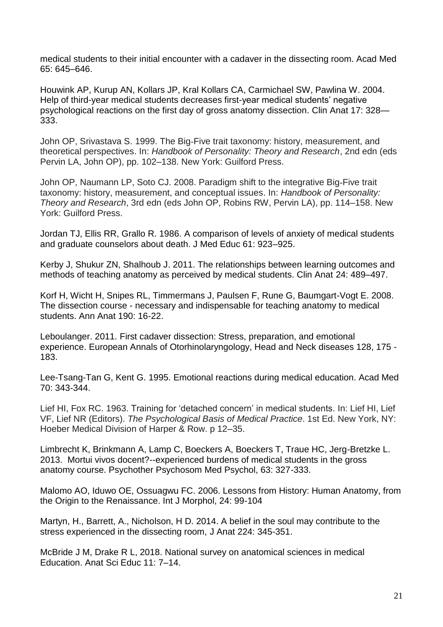medical students to their initial encounter with a cadaver in the dissecting room. Acad Med 65: 645–646.

Houwink AP, Kurup AN, Kollars JP, Kral Kollars CA, Carmichael SW, Pawlina W. 2004. Help of third-year medical students decreases first-year medical students' negative psychological reactions on the first day of gross anatomy dissection. Clin Anat 17: 328— 333.

John OP, Srivastava S. 1999. The Big‐Five trait taxonomy: history, measurement, and theoretical perspectives. In: Handbook of Personality: Theory and Research, 2nd edn (eds Pervin LA, John OP), pp. 102–138. New York: Guilford Press.

John OP, Naumann LP, Soto CJ. 2008. Paradigm shift to the integrative Big‐Five trait taxonomy: history, measurement, and conceptual issues. In: Handbook of Personality: Theory and Research, 3rd edn (eds John OP, Robins RW, Pervin LA), pp. 114–158. New York: Guilford Press.

Jordan TJ, Ellis RR, Grallo R. 1986. A comparison of levels of anxiety of medical students and graduate counselors about death. J Med Educ 61: 923–925.

Kerby J, Shukur ZN, Shalhoub J. 2011. The relationships between learning outcomes and methods of teaching anatomy as perceived by medical students. Clin Anat 24: 489–497.

Korf H, Wicht H, Snipes RL, Timmermans J, Paulsen F, Rune G, Baumgart-Vogt E. 2008. The dissection course - necessary and indispensable for teaching anatomy to medical students. Ann Anat 190: 16-22.

Leboulanger. 2011. First cadaver dissection: Stress, preparation, and emotional experience. European Annals of Otorhinolaryngology, Head and Neck diseases 128, 175 - 183.

Lee-Tsang-Tan G, Kent G. 1995. Emotional reactions during medical education. Acad Med 70: 343-344.

Lief HI, Fox RC. 1963. Training for 'detached concern' in medical students. In: Lief HI, Lief VF, Lief NR (Editors). The Psychological Basis of Medical Practice. 1st Ed. New York, NY: Hoeber Medical Division of Harper & Row. p 12–35.

Limbrecht K, Brinkmann A, Lamp C, Boeckers A, Boeckers T, Traue HC, Jerg-Bretzke L. 2013. Mortui vivos docent?--experienced burdens of medical students in the gross anatomy course. Psychother Psychosom Med Psychol, 63: 327-333.

Malomo AO, Iduwo OE, Ossuagwu FC. 2006. Lessons from History: Human Anatomy, from the Origin to the Renaissance. Int J Morphol, 24: 99-104

Martyn, H., Barrett, A., Nicholson, H D. 2014. A belief in the soul may contribute to the stress experienced in the dissecting room, J Anat [224: 3](https://onlinelibrary.wiley.com/toc/14697580/224/3)45-351.

McBride J M, Drake R L, 2018. National survey on anatomical sciences in medical Education. Anat Sci Educ 11: 7–14.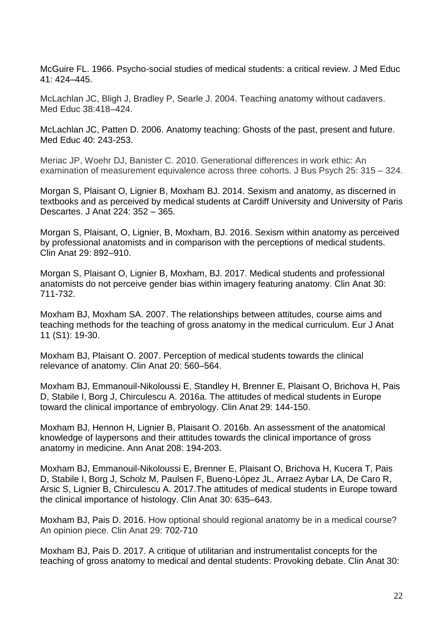McGuire FL. 1966. Psycho-social studies of medical students: a critical review. J Med Educ 41: 424–445.

McLachlan JC, Bligh J, Bradley P, Searle J. 2004. Teaching anatomy without cadavers. Med Educ 38:418–424.

McLachlan JC, Patten D. 2006. Anatomy teaching: Ghosts of the past, present and future. Med Educ 40: 243-253.

Meriac JP, Woehr DJ, Banister C. 2010. Generational differences in work ethic: An examination of measurement equivalence across three cohorts. J Bus Psych 25: 315 – 324.

Morgan S, Plaisant O, Lignier B, Moxham BJ. 2014. Sexism and anatomy, as discerned in textbooks and as perceived by medical students at Cardiff University and University of Paris Descartes. J Anat 224: 352 – 365.

Morgan S, Plaisant, O, Lignier, B, Moxham, BJ. 2016. Sexism within anatomy as perceived by professional anatomists and in comparison with the perceptions of medical students. Clin Anat 29: 892–910.

Morgan S, Plaisant O, Lignier B, Moxham, BJ. 2017. Medical students and professional anatomists do not perceive gender bias within imagery featuring anatomy. Clin Anat 30: 711-732.

Moxham BJ, Moxham SA. 2007. The relationships between attitudes, course aims and teaching methods for the teaching of gross anatomy in the medical curriculum. Eur J Anat 11 (S1): 19-30.

Moxham BJ, Plaisant O. 2007. Perception of medical students towards the clinical relevance of anatomy. Clin Anat 20: 560–564.

Moxham BJ, Emmanouil-Nikoloussi E, Standley H, Brenner E, Plaisant O, Brichova H, Pais D, Stabile I, Borg J, Chirculescu A. 2016a. [The attitudes of medical students in Europe](http://onlinelibrary.wiley.com/doi/10.1002/ca.22667/full)  [toward the clinical importance of embryology.](http://onlinelibrary.wiley.com/doi/10.1002/ca.22667/full) Clin Anat 29: 144-150.

Moxham BJ, Hennon H, Lignier B, Plaisant O. 2016b. An assessment of the anatomical knowledge of laypersons and their attitudes towards the clinical importance of gross anatomy in medicine. Ann Anat 208: 194-203.

Moxham BJ, Emmanouil-Nikoloussi E, Brenner E, Plaisant O, Brichova H, Kucera T, Pais D, Stabile I, Borg J, Scholz M, Paulsen F, Bueno-López JL, Arraez Aybar LA, De Caro R, Arsic S, Lignier B, Chirculescu A. 2017.The attitudes of medical students in Europe toward the clinical importance of histology. Clin Anat 30: 635–643.

Moxham BJ, Pais D. 2016. How optional should regional anatomy be in a medical course? An opinion piece. Clin Anat 29: 702-710

Moxham BJ, Pais D. 2017. A critique of utilitarian and instrumentalist concepts for the teaching of gross anatomy to medical and dental students: Provoking debate. Clin Anat 30: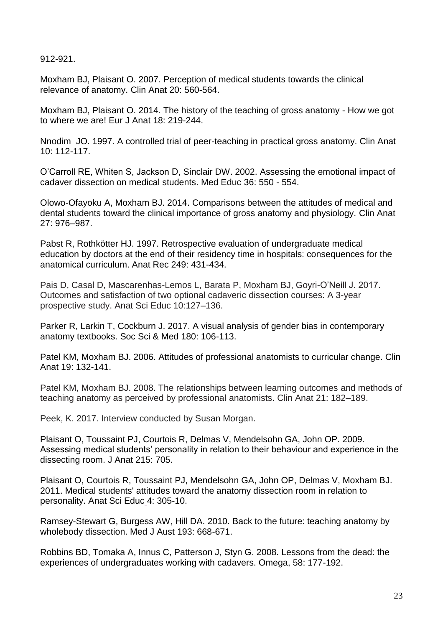912-921.

Moxham BJ, Plaisant O. 2007. Perception of medical students towards the clinical relevance of anatomy. Clin Anat 20: 560-564.

Moxham BJ, Plaisant O. 2014. The history of the teaching of gross anatomy - How we got to where we are! Eur J Anat 18: 219-244.

Nnodim JO. 1997. A controlled trial of peer-teaching in practical gross anatomy. Clin Anat 10: 112-117.

O'Carroll RE, Whiten S, Jackson D, Sinclair DW. 2002. Assessing the emotional impact of cadaver dissection on medical students. Med Educ 36: 550 - 554.

Olowo-Ofayoku A, Moxham BJ. 2014. Comparisons between the attitudes of medical and dental students toward the clinical importance of gross anatomy and physiology. Clin Anat 27: 976–987.

Pabst R, Rothkötter HJ. 1997. Retrospective evaluation of undergraduate medical education by doctors at the end of their residency time in hospitals: consequences for the anatomical curriculum. Anat Rec 249: 431-434.

Pais D, Casal D, Mascarenhas-Lemos L, Barata P, Moxham BJ, Goyri-O'Neill J. 2017. Outcomes and satisfaction of two optional cadaveric dissection courses: A 3-year prospective study. Anat Sci Educ 10:127–136.

Parker R, Larkin T, Cockburn J. 2017. A visual analysis of gender bias in contemporary anatomy textbooks. Soc Sci & Med 180: 106-113.

Patel KM, Moxham BJ. 2006. Attitudes of professional anatomists to curricular change. Clin Anat 19: 132-141.

Patel KM, Moxham BJ. 2008. The relationships between learning outcomes and methods of teaching anatomy as perceived by professional anatomists. Clin Anat 21: 182–189.

Peek, K. 2017. Interview conducted by Susan Morgan.

Plaisant O, Toussaint PJ, Courtois R, Delmas V, Mendelsohn GA, John OP. 2009. Assessing medical students' personality in relation to their behaviour and experience in the dissecting room. J Anat 215: 705.

[Plaisant O,](https://www.ncbi.nlm.nih.gov/pubmed/?term=Plaisant%20O%5BAuthor%5D&cauthor=true&cauthor_uid=22065473) [Courtois R,](https://www.ncbi.nlm.nih.gov/pubmed/?term=Courtois%20R%5BAuthor%5D&cauthor=true&cauthor_uid=22065473) [Toussaint PJ,](https://www.ncbi.nlm.nih.gov/pubmed/?term=Toussaint%20PJ%5BAuthor%5D&cauthor=true&cauthor_uid=22065473) [Mendelsohn GA,](https://www.ncbi.nlm.nih.gov/pubmed/?term=Mendelsohn%20GA%5BAuthor%5D&cauthor=true&cauthor_uid=22065473) [John OP,](https://www.ncbi.nlm.nih.gov/pubmed/?term=John%20OP%5BAuthor%5D&cauthor=true&cauthor_uid=22065473) [Delmas V,](https://www.ncbi.nlm.nih.gov/pubmed/?term=Delmas%20V%5BAuthor%5D&cauthor=true&cauthor_uid=22065473) [Moxham BJ.](https://www.ncbi.nlm.nih.gov/pubmed/?term=Moxham%20BJ%5BAuthor%5D&cauthor=true&cauthor_uid=22065473) 2011. Medical students' attitudes toward the anatomy dissection room in relation to personality. [Anat Sci Educ](https://www.ncbi.nlm.nih.gov/pubmed/22065473) 4: 305-10.

Ramsey-Stewart G, Burgess AW, Hill DA. 2010. Back to the future: teaching anatomy by wholebody dissection. Med J Aust 193: 668-671.

Robbins BD, Tomaka A, Innus C, Patterson J, Styn G. 2008. Lessons from the dead: the experiences of undergraduates working with cadavers. Omega, 58: 177-192.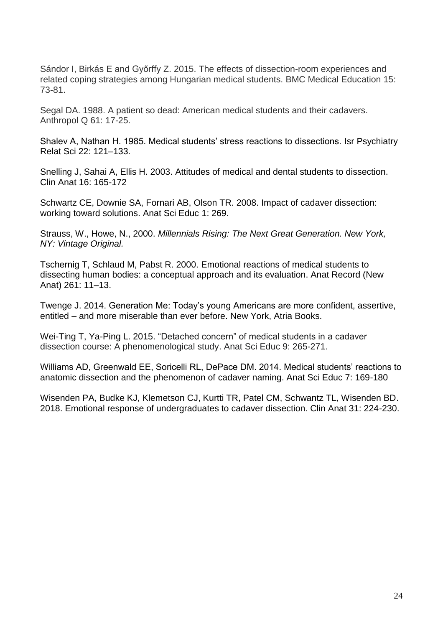Sándor I, Birkás E and Győrffy Z. 2015. The effects of dissection-room experiences and related coping strategies among Hungarian medical students. BMC Medical Education 15: 73-81.

Segal DA. 1988. A patient so dead: American medical students and their cadavers. Anthropol Q 61: 17-25.

Shalev A, Nathan H. 1985. Medical students' stress reactions to dissections. Isr Psychiatry Relat Sci 22: 121–133.

Snelling J, Sahai A, Ellis H. 2003. Attitudes of medical and dental students to dissection. Clin Anat 16: 165-172

Schwartz CE, Downie SA, Fornari AB, Olson TR. 2008. Impact of cadaver dissection: working toward solutions. Anat Sci Educ 1: 269.

Strauss, W., Howe, N., 2000. Millennials Rising: The Next Great Generation. New York, NY: Vintage Original.

Tschernig T, Schlaud M, Pabst R. 2000. Emotional reactions of medical students to dissecting human bodies: a conceptual approach and its evaluation. Anat Record (New Anat) 261: 11–13.

Twenge J. 2014. Generation Me: Today's young Americans are more confident, assertive, entitled – and more miserable than ever before. New York, Atria Books.

Wei-Ting T, Ya-Ping L. 2015. "Detached concern" of medical students in a cadaver dissection course: A phenomenological study. Anat Sci Educ 9: 265-271.

Williams AD, Greenwald EE, Soricelli RL, DePace DM. 2014. Medical students' reactions to anatomic dissection and the phenomenon of cadaver naming. Anat Sci Educ 7: 169-180

Wisenden PA, Budke KJ, Klemetson CJ, Kurtti TR, Patel CM, Schwantz TL, Wisenden BD. 2018. Emotional response of undergraduates to cadaver dissection. Clin Anat 31: 224-230.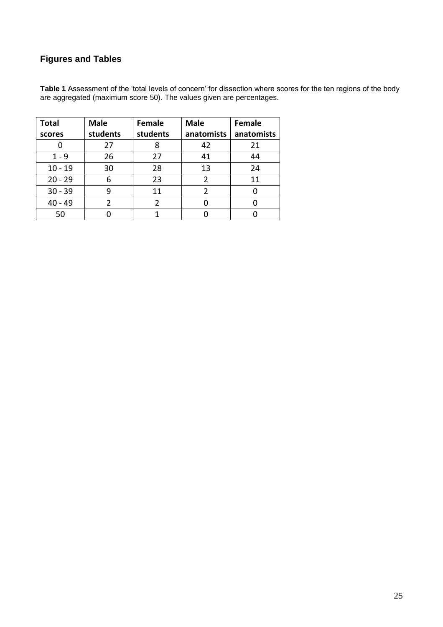## **Figures and Tables**

**Table 1** Assessment of the 'total levels of concern' for dissection where scores for the ten regions of the body are aggregated (maximum score 50). The values given are percentages.

| <b>Total</b><br>scores | <b>Male</b><br>students | Female<br>students | <b>Male</b><br>anatomists | <b>Female</b><br>anatomists |
|------------------------|-------------------------|--------------------|---------------------------|-----------------------------|
|                        | 27                      | 8                  | 42                        | 21                          |
| $1 - 9$                | 26                      | 27                 | 41                        | 44                          |
| $10 - 19$              | 30                      | 28                 | 13                        | 24                          |
| $20 - 29$              | 6                       | 23                 | $\mathfrak z$             | 11                          |
| $30 - 39$              | ٩                       | 11                 | 2                         |                             |
| $40 - 49$              | 2                       | 2                  | 0                         |                             |
| 50                     |                         |                    |                           |                             |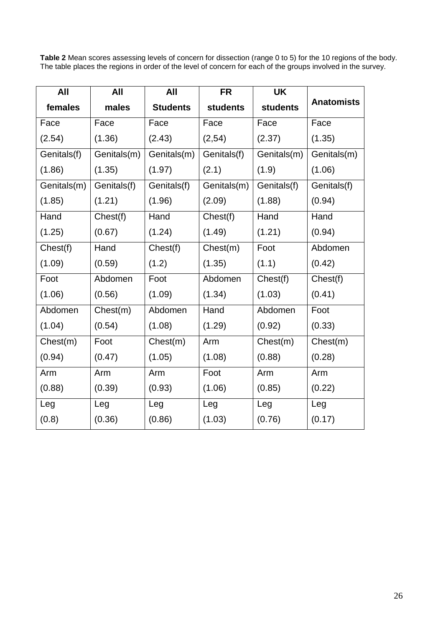**Table 2** Mean scores assessing levels of concern for dissection (range 0 to 5) for the 10 regions of the body. The table places the regions in order of the level of concern for each of the groups involved in the survey.

| All         | <b>All</b>  | All             | <b>FR</b>       | <b>UK</b>       | <b>Anatomists</b> |  |
|-------------|-------------|-----------------|-----------------|-----------------|-------------------|--|
| females     | males       | <b>Students</b> | <b>students</b> | <b>students</b> |                   |  |
| Face        | Face        | Face            | Face            | Face            | Face              |  |
| (2.54)      | (1.36)      | (2.43)          | (2, 54)         | (2.37)          | (1.35)            |  |
| Genitals(f) | Genitals(m) | Genitals(m)     | Genitals(f)     | Genitals(m)     | Genitals(m)       |  |
| (1.86)      | (1.35)      | (1.97)          | (2.1)           | (1.9)           | (1.06)            |  |
| Genitals(m) | Genitals(f) | Genitals(f)     | Genitals(m)     | Genitals(f)     | Genitals(f)       |  |
| (1.85)      | (1.21)      | (1.96)          | (2.09)          | (1.88)          | (0.94)            |  |
| Hand        | Chest(f)    | Hand            | Chest(f)        | Hand            | Hand              |  |
| (1.25)      | (0.67)      | (1.24)          | (1.49)          | (1.21)          | (0.94)            |  |
| Chest(f)    | Hand        | Chest(f)        | Chest(m)        | Foot            | Abdomen           |  |
| (1.09)      | (0.59)      | (1.2)           | (1.35)          | (1.1)           | (0.42)            |  |
| Foot        | Abdomen     | Foot            | Abdomen         | Chest(f)        | Chest(f)          |  |
| (1.06)      | (0.56)      | (1.09)          | (1.34)          | (1.03)          | (0.41)            |  |
| Abdomen     | Chest(m)    | Abdomen         | Hand            | Abdomen         | Foot              |  |
| (1.04)      | (0.54)      | (1.08)          | (1.29)          | (0.92)          | (0.33)            |  |
| Chest(m)    | Foot        | Chest(m)        | Arm             | Chest(m)        | Chest(m)          |  |
| (0.94)      | (0.47)      | (1.05)          | (1.08)          | (0.88)          | (0.28)            |  |
| Arm         | Arm         | Arm             | Foot            | Arm             | Arm               |  |
| (0.88)      | (0.39)      | (0.93)          | (1.06)          | (0.85)          | (0.22)            |  |
| Leg         | Leg         | Leg             | Leg             | Leg             | Leg               |  |
| (0.8)       | (0.36)      | (0.86)          | (1.03)          | (0.76)          | (0.17)            |  |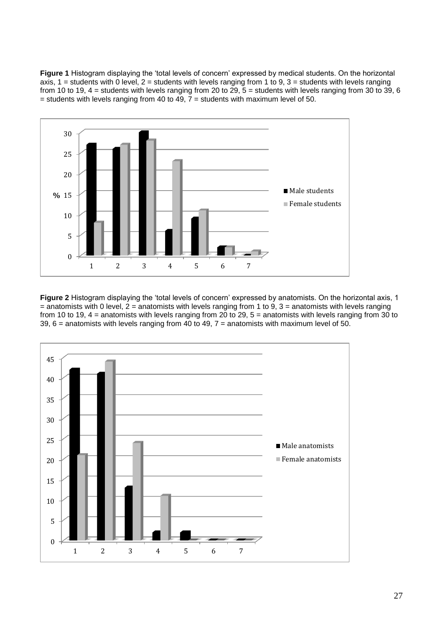**Figure 1** Histogram displaying the 'total levels of concern' expressed by medical students. On the horizontal axis, 1 = students with 0 level, 2 = students with levels ranging from 1 to 9, 3 = students with levels ranging from 10 to 19,  $4 =$  students with levels ranging from 20 to 29,  $5 =$  students with levels ranging from 30 to 39, 6  $=$  students with levels ranging from 40 to 49,  $\bar{7}$  = students with maximum level of 50.



**Figure 2** Histogram displaying the 'total levels of concern' expressed by anatomists. On the horizontal axis, 1 = anatomists with 0 level,  $\acute{2}$  = anatomists with levels ranging from 1 to 9, 3 = anatomists with levels ranging from 10 to 19, 4 = anatomists with levels ranging from 20 to 29, 5 = anatomists with levels ranging from 30 to 39, 6 = anatomists with levels ranging from 40 to 49, 7 = anatomists with maximum level of 50.

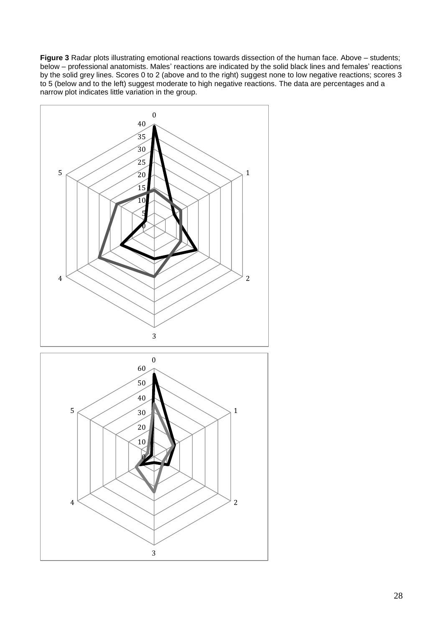**Figure 3** Radar plots illustrating emotional reactions towards dissection of the human face. Above – students; below – professional anatomists. Males' reactions are indicated by the solid black lines and females' reactions by the solid grey lines. Scores 0 to 2 (above and to the right) suggest none to low negative reactions; scores 3 to 5 (below and to the left) suggest moderate to high negative reactions. The data are percentages and a narrow plot indicates little variation in the group.

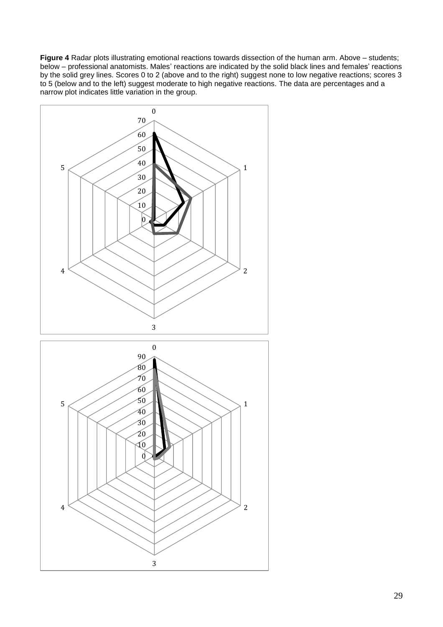**Figure 4** Radar plots illustrating emotional reactions towards dissection of the human arm. Above – students; below – professional anatomists. Males' reactions are indicated by the solid black lines and females' reactions by the solid grey lines. Scores 0 to 2 (above and to the right) suggest none to low negative reactions; scores 3 to 5 (below and to the left) suggest moderate to high negative reactions. The data are percentages and a narrow plot indicates little variation in the group.

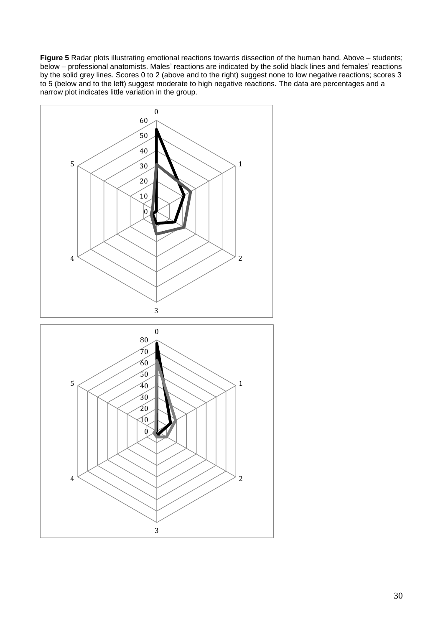**Figure 5** Radar plots illustrating emotional reactions towards dissection of the human hand. Above – students; below – professional anatomists. Males' reactions are indicated by the solid black lines and females' reactions by the solid grey lines. Scores 0 to 2 (above and to the right) suggest none to low negative reactions; scores 3 to 5 (below and to the left) suggest moderate to high negative reactions. The data are percentages and a narrow plot indicates little variation in the group.

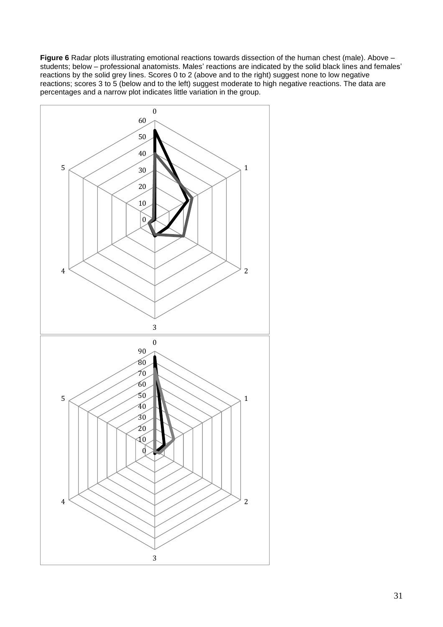**Figure 6** Radar plots illustrating emotional reactions towards dissection of the human chest (male). Above – students; below – professional anatomists. Males' reactions are indicated by the solid black lines and females' reactions by the solid grey lines. Scores 0 to 2 (above and to the right) suggest none to low negative reactions; scores 3 to 5 (below and to the left) suggest moderate to high negative reactions. The data are percentages and a narrow plot indicates little variation in the group.

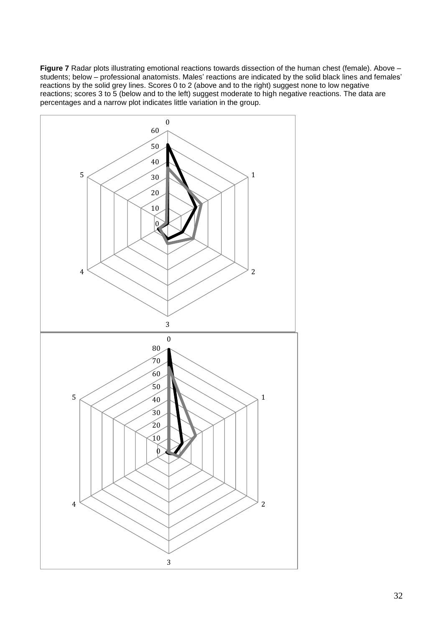Figure 7 Radar plots illustrating emotional reactions towards dissection of the human chest (female). Above students; below – professional anatomists. Males' reactions are indicated by the solid black lines and females' reactions by the solid grey lines. Scores 0 to 2 (above and to the right) suggest none to low negative reactions; scores 3 to 5 (below and to the left) suggest moderate to high negative reactions. The data are percentages and a narrow plot indicates little variation in the group.

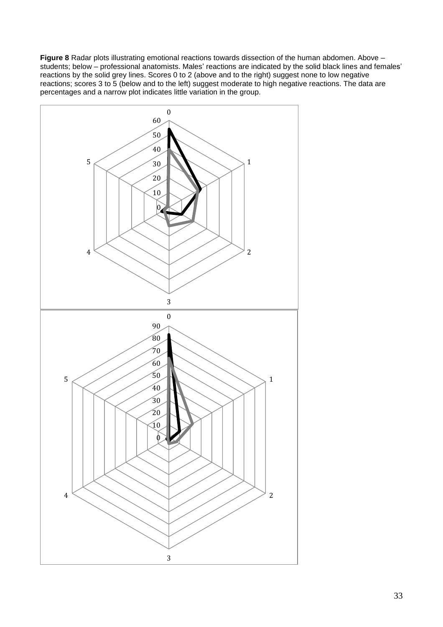**Figure 8** Radar plots illustrating emotional reactions towards dissection of the human abdomen. Above – students; below – professional anatomists. Males' reactions are indicated by the solid black lines and females' reactions by the solid grey lines. Scores 0 to 2 (above and to the right) suggest none to low negative reactions; scores 3 to 5 (below and to the left) suggest moderate to high negative reactions. The data are percentages and a narrow plot indicates little variation in the group.

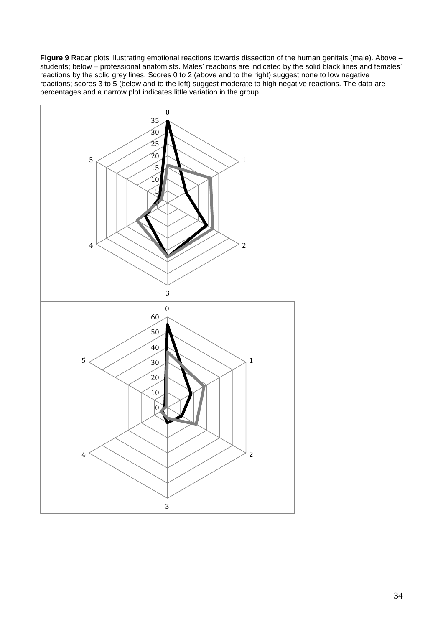**Figure 9** Radar plots illustrating emotional reactions towards dissection of the human genitals (male). Above – students; below – professional anatomists. Males' reactions are indicated by the solid black lines and females' reactions by the solid grey lines. Scores 0 to 2 (above and to the right) suggest none to low negative reactions; scores 3 to 5 (below and to the left) suggest moderate to high negative reactions. The data are percentages and a narrow plot indicates little variation in the group.

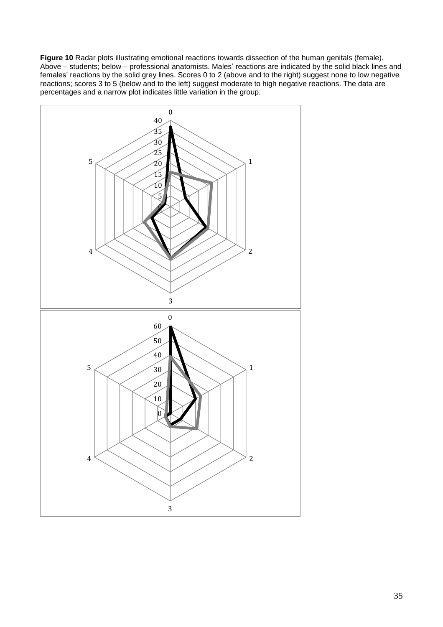**Figure 10** Radar plots illustrating emotional reactions towards dissection of the human genitals (female). Above – students; below – professional anatomists. Males' reactions are indicated by the solid black lines and females' reactions by the solid grey lines. Scores 0 to 2 (above and to the right) suggest none to low negative reactions; scores 3 to 5 (below and to the left) suggest moderate to high negative reactions. The data are percentages and a narrow plot indicates little variation in the group.

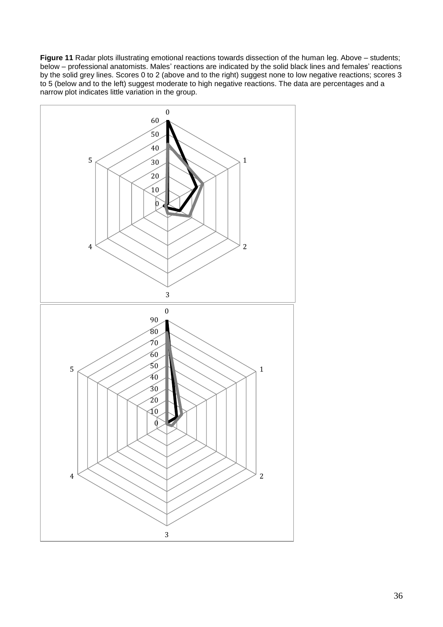Figure 11 Radar plots illustrating emotional reactions towards dissection of the human leg. Above – students; below – professional anatomists. Males' reactions are indicated by the solid black lines and females' reactions by the solid grey lines. Scores 0 to 2 (above and to the right) suggest none to low negative reactions; scores 3 to 5 (below and to the left) suggest moderate to high negative reactions. The data are percentages and a narrow plot indicates little variation in the group.